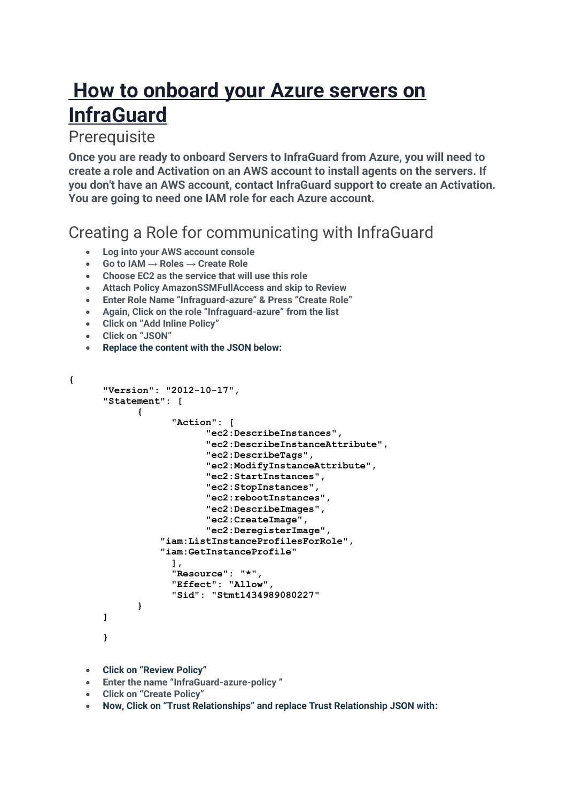# **How to onboard your Azure servers on InfraGuard**

#### **Prerequisite**

**Once you are ready to onboard Servers to InfraGuard from Azure, you will need to create a role and Activation on an AWS account to install agents on the servers. If you don't have an AWS account, contact InfraGuard support to create an Activation. You are going to need one IAM role for each Azure account.**

### Creating a Role for communicating with InfraGuard

- **Log into your AWS account console**
- **Go to IAM → Roles → Create Role**
- **Choose EC2 as the service that will use this role**
- **Attach Policy AmazonSSMFullAccess and skip to Review**
- **Enter Role Name "Infraguard-azure" & Press "Create Role"**
- **Again, Click on the role "Infraguard-azure" from the list**
- **Click on "Add Inline Policy"**
- **Click on "JSON"**

**{**

• **Replace the content with the JSON below:**

```
"Version": "2012-10-17",
"Statement": [
      {
            "Action": [
                   "ec2:DescribeInstances",
                   "ec2:DescribeInstanceAttribute",
                   "ec2:DescribeTags",
                   "ec2:ModifyInstanceAttribute",
                   "ec2:StartInstances",
                   "ec2:StopInstances",
                   "ec2:rebootInstances",
                   "ec2:DescribeImages",
                   "ec2:CreateImage",
                   "ec2:DeregisterImage",
           "iam:ListInstanceProfilesForRole",
           "iam:GetInstanceProfile"
            ],
            "Resource": "*",
            "Effect": "Allow",
            "Sid": "Stmt1434989080227"
      }
]
```
• **Click on "Review Policy"**

**}**

- **Enter the name "InfraGuard-azure-policy "**
- **Click on "Create Policy"**
- **Now, Click on "Trust Relationships" and replace Trust Relationship JSON with:**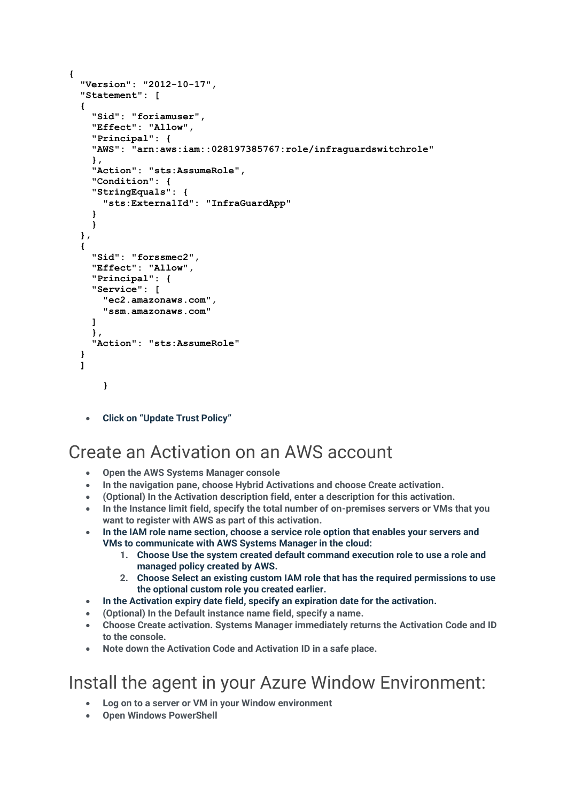```
{
   "Version": "2012-10-17",
   "Statement": [
 {
     "Sid": "foriamuser",
     "Effect": "Allow",
     "Principal": {
     "AWS": "arn:aws:iam::028197385767:role/infraguardswitchrole"
     },
     "Action": "sts:AssumeRole",
     "Condition": {
     "StringEquals": {
       "sts:ExternalId": "InfraGuardApp"
     }
     }
  },
   {
     "Sid": "forssmec2",
     "Effect": "Allow",
     "Principal": {
     "Service": [
       "ec2.amazonaws.com",
       "ssm.amazonaws.com"
     ]
     },
     "Action": "sts:AssumeRole"
  }
  ]
      }
```
• **Click on "Update Trust Policy"**

# Create an Activation on an AWS account

- **Open the AWS Systems Manager console**
- **In the navigation pane, choose Hybrid Activations and choose Create activation.**
- **(Optional) In the Activation description field, enter a description for this activation.**
- **In the Instance limit field, specify the total number of on-premises servers or VMs that you want to register with AWS as part of this activation.**
- **In the IAM role name section, choose a service role option that enables your servers and VMs to communicate with AWS Systems Manager in the cloud:**
	- **1. Choose Use the system created default command execution role to use a role and managed policy created by AWS.**
	- **2. Choose Select an existing custom IAM role that has the required permissions to use the optional custom role you created earlier.**
- **In the Activation expiry date field, specify an expiration date for the activation.**
- **(Optional) In the Default instance name field, specify a name.**
- **Choose Create activation. Systems Manager immediately returns the Activation Code and ID to the console.**
- **Note down the Activation Code and Activation ID in a safe place.**

# Install the agent in your Azure Window Environment:

- **Log on to a server or VM in your Window environment**
- **Open Windows PowerShell**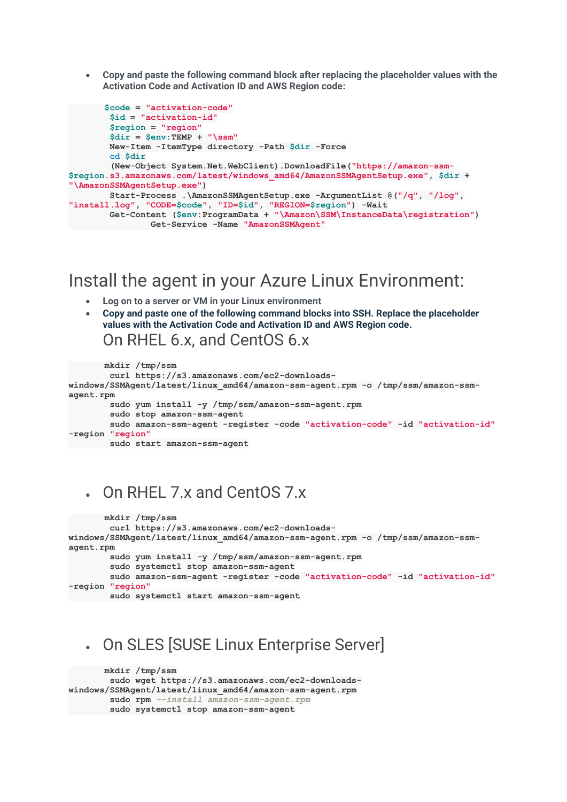• **Copy and paste the following command block after replacing the placeholder values with the Activation Code and Activation ID and AWS Region code:**

```
 $code = "activation-code"
         $id = "activation-id"
         $region = "region"
         $dir = $env:TEMP + "\ssm"
        New-Item -ItemType directory -Path $dir -Force
         cd $dir
         (New-Object System.Net.WebClient).DownloadFile("https://amazon-ssm-
$region.s3.amazonaws.com/latest/windows_amd64/AmazonSSMAgentSetup.exe", $dir +
"\AmazonSSMAgentSetup.exe")
        Start-Process .\AmazonSSMAgentSetup.exe -ArgumentList @("/q", "/log",
"install.log", "CODE=$code", "ID=$id", "REGION=$region") -Wait
        Get-Content ($env:ProgramData + "\Amazon\SSM\InstanceData\registration")
           Get-Service -Name "AmazonSSMAgent"
```
#### Install the agent in your Azure Linux Environment:

- **Log on to a server or VM in your Linux environment**
- **Copy and paste one of the following command blocks into SSH. Replace the placeholder values with the Activation Code and Activation ID and AWS Region code.** On RHEL 6.x, and CentOS 6.x

```
 mkdir /tmp/ssm
         curl https://s3.amazonaws.com/ec2-downloads-
windows/SSMAgent/latest/linux_amd64/amazon-ssm-agent.rpm -o /tmp/ssm/amazon-ssm-
agent.rpm
         sudo yum install -y /tmp/ssm/amazon-ssm-agent.rpm
         sudo stop amazon-ssm-agent
         sudo amazon-ssm-agent -register -code "activation-code" -id "activation-id"
-region "region"
       sudo start amazon-ssm-agent
```
# • On RHEL 7.x and CentOS 7.x

```
 mkdir /tmp/ssm
         curl https://s3.amazonaws.com/ec2-downloads-
windows/SSMAgent/latest/linux_amd64/amazon-ssm-agent.rpm -o /tmp/ssm/amazon-ssm-
agent.rpm
         sudo yum install -y /tmp/ssm/amazon-ssm-agent.rpm
         sudo systemctl stop amazon-ssm-agent
         sudo amazon-ssm-agent -register -code "activation-code" -id "activation-id"
-region "region"
       sudo systemctl start amazon-ssm-agent
```
### • On SLES [SUSE Linux Enterprise Server]

```
 mkdir /tmp/ssm
        sudo wget https://s3.amazonaws.com/ec2-downloads-
windows/SSMAgent/latest/linux_amd64/amazon-ssm-agent.rpm
        sudo rpm --install amazon-ssm-agent.rpm
        sudo systemctl stop amazon-ssm-agent
```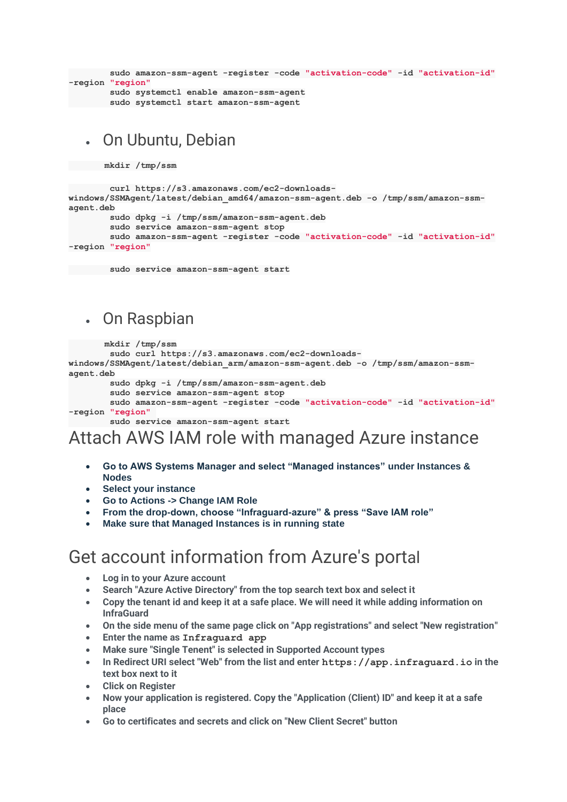```
 sudo amazon-ssm-agent -register -code "activation-code" -id "activation-id"
-region "region"
       sudo systemctl enable amazon-ssm-agent
       sudo systemctl start amazon-ssm-agent
```
#### • On Ubuntu, Debian

 **mkdir /tmp/ssm**

```
 curl https://s3.amazonaws.com/ec2-downloads-
windows/SSMAgent/latest/debian_amd64/amazon-ssm-agent.deb -o /tmp/ssm/amazon-ssm-
agent.deb
```

```
 sudo dpkg -i /tmp/ssm/amazon-ssm-agent.deb
```

```
 sudo service amazon-ssm-agent stop
```

```
 sudo amazon-ssm-agent -register -code "activation-code" -id "activation-id"
-region "region"
```
 **sudo service amazon-ssm-agent start**

### • On Raspbian

```
 mkdir /tmp/ssm
```

```
 sudo curl https://s3.amazonaws.com/ec2-downloads-
windows/SSMAgent/latest/debian_arm/amazon-ssm-agent.deb -o /tmp/ssm/amazon-ssm-
agent.deb
         sudo dpkg -i /tmp/ssm/amazon-ssm-agent.deb
```

```
 sudo service amazon-ssm-agent stop
```

```
 sudo amazon-ssm-agent -register -code "activation-code" -id "activation-id"
-region "region"
```

```
 sudo service amazon-ssm-agent start
```
# Attach AWS IAM role with managed Azure instance

- **Go to AWS Systems Manager and select "Managed instances" under Instances & Nodes**
- **Select your instance**
- **Go to Actions -> Change IAM Role**
- **From the drop-down, choose "Infraguard-azure" & press "Save IAM role"**
- **Make sure that Managed Instances is in running state**

# Get account information from Azure's portal

- **Log in to your Azure account**
- **Search "Azure Active Directory" from the top search text box and select it**
- **Copy the tenant id and keep it at a safe place. We will need it while adding information on InfraGuard**
- **On the side menu of the same page click on "App registrations" and select "New registration"**
- **Enter the name as Infraguard app**
- **Make sure "Single Tenent" is selected in Supported Account types**
- **In Redirect URI select "Web" from the list and enter https://app.infraguard.io in the text box next to it**
- **Click on Register**
- **Now your application is registered. Copy the "Application (Client) ID" and keep it at a safe place**
- **Go to certificates and secrets and click on "New Client Secret" button**